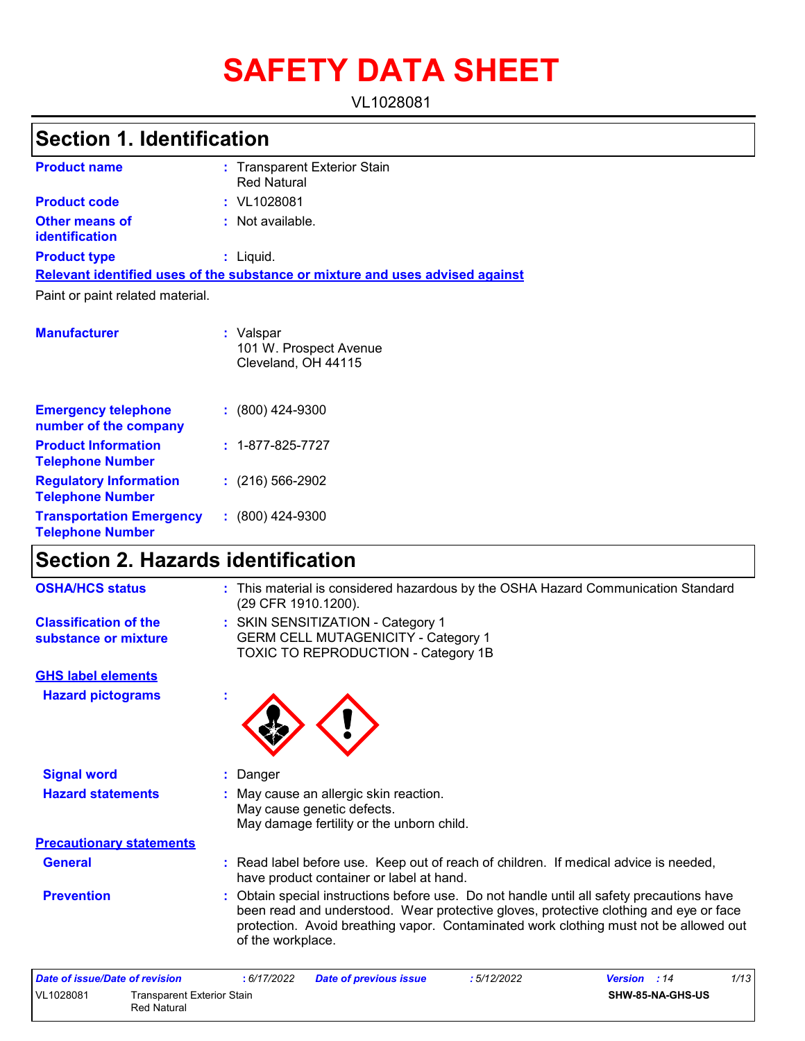# **SAFETY DATA SHEET**

VL1028081

# **Section 1. Identification**

| <b>Product name</b>                     | : Transparent Exterior Stain<br><b>Red Natural</b>                            |
|-----------------------------------------|-------------------------------------------------------------------------------|
| <b>Product code</b>                     | $:$ VL1028081                                                                 |
| <b>Other means of</b><br>identification | : Not available.                                                              |
| <b>Product type</b>                     | : Liquid.                                                                     |
|                                         | Relevant identified uses of the substance or mixture and uses advised against |
| Paint or paint related material.        |                                                                               |
| <b>Manufacturer</b>                     | : Valspar<br>101 W. Prospect Avenue<br>Cleveland, OH 44115                    |

| <b>Emergency telephone</b><br>number of the company        | $: (800)$ 424-9300       |
|------------------------------------------------------------|--------------------------|
| <b>Product Information</b><br><b>Telephone Number</b>      | $: 1 - 877 - 825 - 7727$ |
| <b>Regulatory Information</b><br><b>Telephone Number</b>   | $: (216) 566 - 2902$     |
| <b>Transportation Emergency</b><br><b>Telephone Number</b> | $: (800)$ 424-9300       |

### **Section 2. Hazards identification**

| <b>OSHA/HCS status</b>                               | : This material is considered hazardous by the OSHA Hazard Communication Standard<br>(29 CFR 1910.1200).                                                                                                                                                                                         |
|------------------------------------------------------|--------------------------------------------------------------------------------------------------------------------------------------------------------------------------------------------------------------------------------------------------------------------------------------------------|
| <b>Classification of the</b><br>substance or mixture | : SKIN SENSITIZATION - Category 1<br><b>GERM CELL MUTAGENICITY - Category 1</b><br>TOXIC TO REPRODUCTION - Category 1B                                                                                                                                                                           |
| <b>GHS label elements</b>                            |                                                                                                                                                                                                                                                                                                  |
| <b>Hazard pictograms</b>                             |                                                                                                                                                                                                                                                                                                  |
| <b>Signal word</b>                                   | Danger                                                                                                                                                                                                                                                                                           |
| <b>Hazard statements</b>                             | : May cause an allergic skin reaction.<br>May cause genetic defects.<br>May damage fertility or the unborn child.                                                                                                                                                                                |
| <b>Precautionary statements</b>                      |                                                                                                                                                                                                                                                                                                  |
| <b>General</b>                                       | : Read label before use. Keep out of reach of children. If medical advice is needed,<br>have product container or label at hand.                                                                                                                                                                 |
| <b>Prevention</b>                                    | : Obtain special instructions before use. Do not handle until all safety precautions have<br>been read and understood. Wear protective gloves, protective clothing and eye or face<br>protection. Avoid breathing vapor. Contaminated work clothing must not be allowed out<br>of the workplace. |
| Date of issue/Date of revision                       | 1/12<br>. 6/17/2022<br>• 5/19/9099<br>Dato of provinus issuo<br>Vareion<br>.14                                                                                                                                                                                                                   |

| Date of issue/Date of revision |                                                  | : 6/17/2022 | <b>Date of previous issue</b> | 5/12/2022 | <b>Version</b> : 14 | 1/13 |
|--------------------------------|--------------------------------------------------|-------------|-------------------------------|-----------|---------------------|------|
| VL1028081                      | Transparent Exterior Stain<br><b>Red Natural</b> |             |                               |           | SHW-85-NA-GHS-US    |      |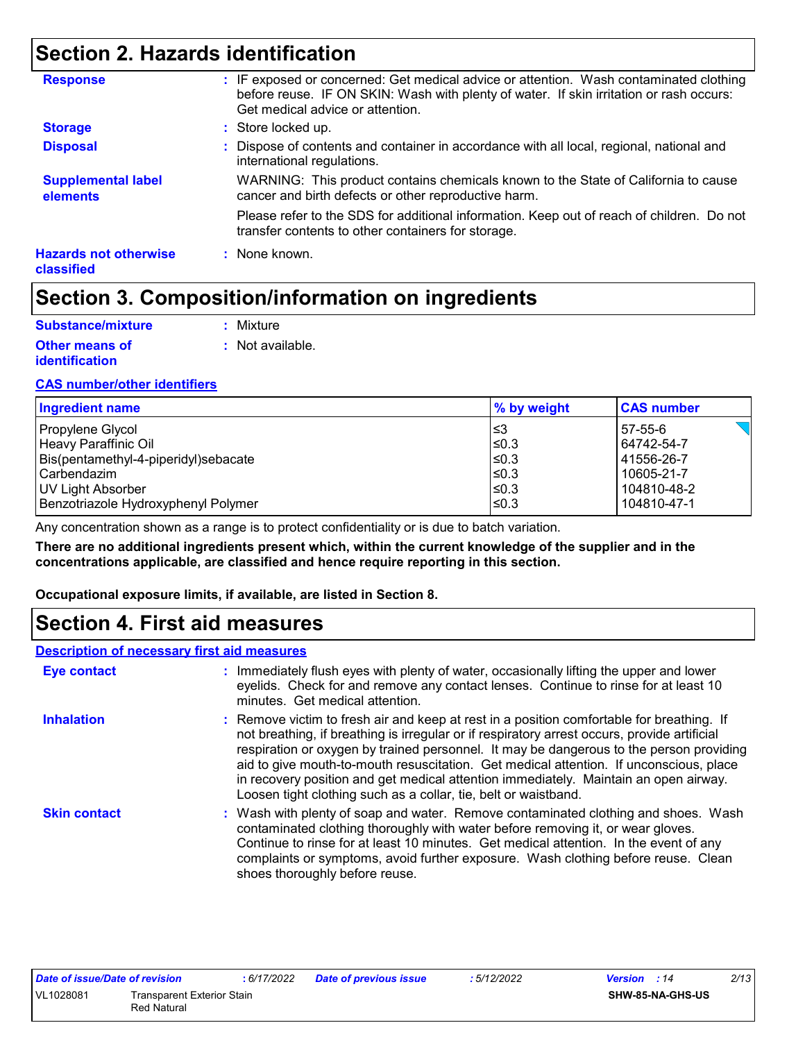### **Section 2. Hazards identification**

| <b>Response</b>                            | : IF exposed or concerned: Get medical advice or attention. Wash contaminated clothing<br>before reuse. IF ON SKIN: Wash with plenty of water. If skin irritation or rash occurs:<br>Get medical advice or attention. |
|--------------------------------------------|-----------------------------------------------------------------------------------------------------------------------------------------------------------------------------------------------------------------------|
| <b>Storage</b>                             | : Store locked up.                                                                                                                                                                                                    |
| <b>Disposal</b>                            | : Dispose of contents and container in accordance with all local, regional, national and<br>international regulations.                                                                                                |
| <b>Supplemental label</b><br>elements      | WARNING: This product contains chemicals known to the State of California to cause<br>cancer and birth defects or other reproductive harm.                                                                            |
|                                            | Please refer to the SDS for additional information. Keep out of reach of children. Do not<br>transfer contents to other containers for storage.                                                                       |
| <b>Hazards not otherwise</b><br>classified | : None known.                                                                                                                                                                                                         |

### **Section 3. Composition/information on ingredients**

| Substance/mixture     | : Mixture                   |
|-----------------------|-----------------------------|
| Other means of        | $\therefore$ Not available. |
| <i>identification</i> |                             |

#### **CAS number/other identifiers**

| <b>Ingredient name</b>               | % by weight | <b>CAS number</b> |
|--------------------------------------|-------------|-------------------|
| Propylene Glycol                     | ∣≤3         | 57-55-6           |
| Heavy Paraffinic Oil                 | l≤0.3       | 64742-54-7        |
| Bis(pentamethyl-4-piperidyl)sebacate | l≤0.3       | 41556-26-7        |
| l Carbendazim                        | $≤0.3$      | 10605-21-7        |
| UV Light Absorber                    | 1≤0.3       | 104810-48-2       |
| Benzotriazole Hydroxyphenyl Polymer  | ≤0.3        | 104810-47-1       |

Any concentration shown as a range is to protect confidentiality or is due to batch variation.

**There are no additional ingredients present which, within the current knowledge of the supplier and in the concentrations applicable, are classified and hence require reporting in this section.**

**Occupational exposure limits, if available, are listed in Section 8.**

### **Section 4. First aid measures**

#### **Description of necessary first aid measures**

| <b>Eye contact</b>  | : Immediately flush eyes with plenty of water, occasionally lifting the upper and lower<br>eyelids. Check for and remove any contact lenses. Continue to rinse for at least 10<br>minutes. Get medical attention.                                                                                                                                                                                                                                                                                                                         |
|---------------------|-------------------------------------------------------------------------------------------------------------------------------------------------------------------------------------------------------------------------------------------------------------------------------------------------------------------------------------------------------------------------------------------------------------------------------------------------------------------------------------------------------------------------------------------|
| <b>Inhalation</b>   | : Remove victim to fresh air and keep at rest in a position comfortable for breathing. If<br>not breathing, if breathing is irregular or if respiratory arrest occurs, provide artificial<br>respiration or oxygen by trained personnel. It may be dangerous to the person providing<br>aid to give mouth-to-mouth resuscitation. Get medical attention. If unconscious, place<br>in recovery position and get medical attention immediately. Maintain an open airway.<br>Loosen tight clothing such as a collar, tie, belt or waistband. |
| <b>Skin contact</b> | : Wash with plenty of soap and water. Remove contaminated clothing and shoes. Wash<br>contaminated clothing thoroughly with water before removing it, or wear gloves.<br>Continue to rinse for at least 10 minutes. Get medical attention. In the event of any<br>complaints or symptoms, avoid further exposure. Wash clothing before reuse. Clean<br>shoes thoroughly before reuse.                                                                                                                                                     |

| Date of issue/Date of revision |                                   | : 6/17/2022 | Date of previous issue | 5/12/2022 | <b>Version</b> : 14 | 2/13 |
|--------------------------------|-----------------------------------|-------------|------------------------|-----------|---------------------|------|
| VL1028081                      | <b>Transparent Exterior Stain</b> |             |                        |           | SHW-85-NA-GHS-US    |      |
|                                | <b>Red Natural</b>                |             |                        |           |                     |      |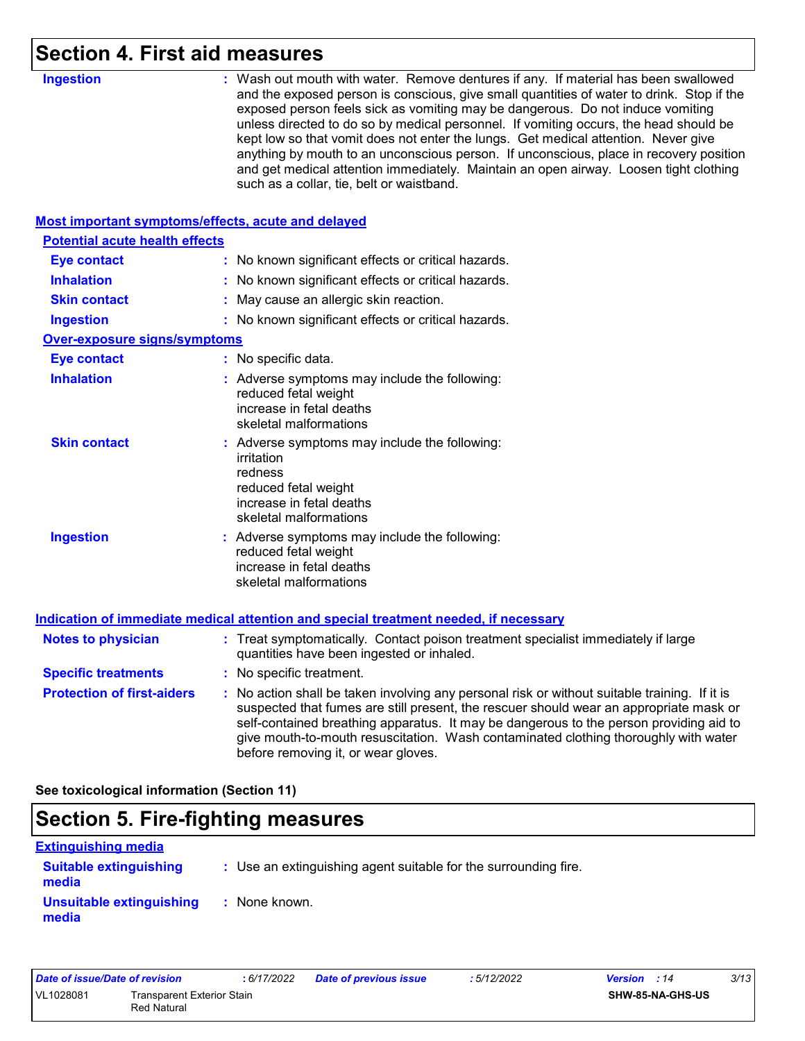### **Section 4. First aid measures**

| <b>Ingestion</b>                                   | : Wash out mouth with water. Remove dentures if any. If material has been swallowed<br>and the exposed person is conscious, give small quantities of water to drink. Stop if the<br>exposed person feels sick as vomiting may be dangerous. Do not induce vomiting<br>unless directed to do so by medical personnel. If vomiting occurs, the head should be<br>kept low so that vomit does not enter the lungs. Get medical attention. Never give<br>anything by mouth to an unconscious person. If unconscious, place in recovery position<br>and get medical attention immediately. Maintain an open airway. Loosen tight clothing<br>such as a collar, tie, belt or waistband. |
|----------------------------------------------------|-----------------------------------------------------------------------------------------------------------------------------------------------------------------------------------------------------------------------------------------------------------------------------------------------------------------------------------------------------------------------------------------------------------------------------------------------------------------------------------------------------------------------------------------------------------------------------------------------------------------------------------------------------------------------------------|
| Most important symptoms/effects, acute and delayed |                                                                                                                                                                                                                                                                                                                                                                                                                                                                                                                                                                                                                                                                                   |
| <b>Potential acute health effects</b>              |                                                                                                                                                                                                                                                                                                                                                                                                                                                                                                                                                                                                                                                                                   |
| <b>Eye contact</b>                                 | : No known significant effects or critical hazards.                                                                                                                                                                                                                                                                                                                                                                                                                                                                                                                                                                                                                               |
| <b>Inhalation</b>                                  | : No known significant effects or critical hazards.                                                                                                                                                                                                                                                                                                                                                                                                                                                                                                                                                                                                                               |
| <b>Skin contact</b>                                | May cause an allergic skin reaction.                                                                                                                                                                                                                                                                                                                                                                                                                                                                                                                                                                                                                                              |
| <b>Ingestion</b>                                   | : No known significant effects or critical hazards.                                                                                                                                                                                                                                                                                                                                                                                                                                                                                                                                                                                                                               |
| <b>Over-exposure signs/symptoms</b>                |                                                                                                                                                                                                                                                                                                                                                                                                                                                                                                                                                                                                                                                                                   |
| <b>Eye contact</b>                                 | : No specific data.                                                                                                                                                                                                                                                                                                                                                                                                                                                                                                                                                                                                                                                               |
| <b>Inhalation</b>                                  | : Adverse symptoms may include the following:<br>reduced fetal weight<br>increase in fetal deaths<br>skeletal malformations                                                                                                                                                                                                                                                                                                                                                                                                                                                                                                                                                       |
| <b>Skin contact</b>                                | : Adverse symptoms may include the following:<br>irritation<br>redness<br>reduced fetal weight<br>increase in fetal deaths<br>skeletal malformations                                                                                                                                                                                                                                                                                                                                                                                                                                                                                                                              |
| <b>Ingestion</b>                                   | : Adverse symptoms may include the following:<br>reduced fetal weight<br>increase in fetal deaths<br>skeletal malformations                                                                                                                                                                                                                                                                                                                                                                                                                                                                                                                                                       |
|                                                    | Indication of immediate medical attention and special treatment needed, if necessary                                                                                                                                                                                                                                                                                                                                                                                                                                                                                                                                                                                              |
| <b>Notes to physician</b>                          | : Treat symptomatically. Contact poison treatment specialist immediately if large<br>quantities have been ingested or inhaled.                                                                                                                                                                                                                                                                                                                                                                                                                                                                                                                                                    |
| <b>Specific treatments</b>                         | : No specific treatment.                                                                                                                                                                                                                                                                                                                                                                                                                                                                                                                                                                                                                                                          |
| <b>Protection of first-aiders</b>                  | : No action shall be taken involving any personal risk or without suitable training. If it is<br>suspected that fumes are still present, the rescuer should wear an appropriate mask or<br>self-contained breathing apparatus. It may be dangerous to the person providing aid to<br>give mouth-to-mouth resuscitation. Wash contaminated clothing thoroughly with water<br>before removing it, or wear gloves.                                                                                                                                                                                                                                                                   |
|                                                    |                                                                                                                                                                                                                                                                                                                                                                                                                                                                                                                                                                                                                                                                                   |

**See toxicological information (Section 11)**

### **Section 5. Fire-fighting measures**

| <b>Extinguishing media</b>             |                                                                 |  |
|----------------------------------------|-----------------------------------------------------------------|--|
| <b>Suitable extinguishing</b><br>media | : Use an extinguishing agent suitable for the surrounding fire. |  |
| Unsuitable extinguishing<br>media      | : None known.                                                   |  |

| Date of issue/Date of revision |                                           | : 6/17/2022 | <b>Date of previous issue</b> | : 5/12/2022             | <b>Version</b> : 14 | 3/13 |
|--------------------------------|-------------------------------------------|-------------|-------------------------------|-------------------------|---------------------|------|
| VL1028081                      | Transparent Exterior Stain<br>Red Natural |             |                               | <b>SHW-85-NA-GHS-US</b> |                     |      |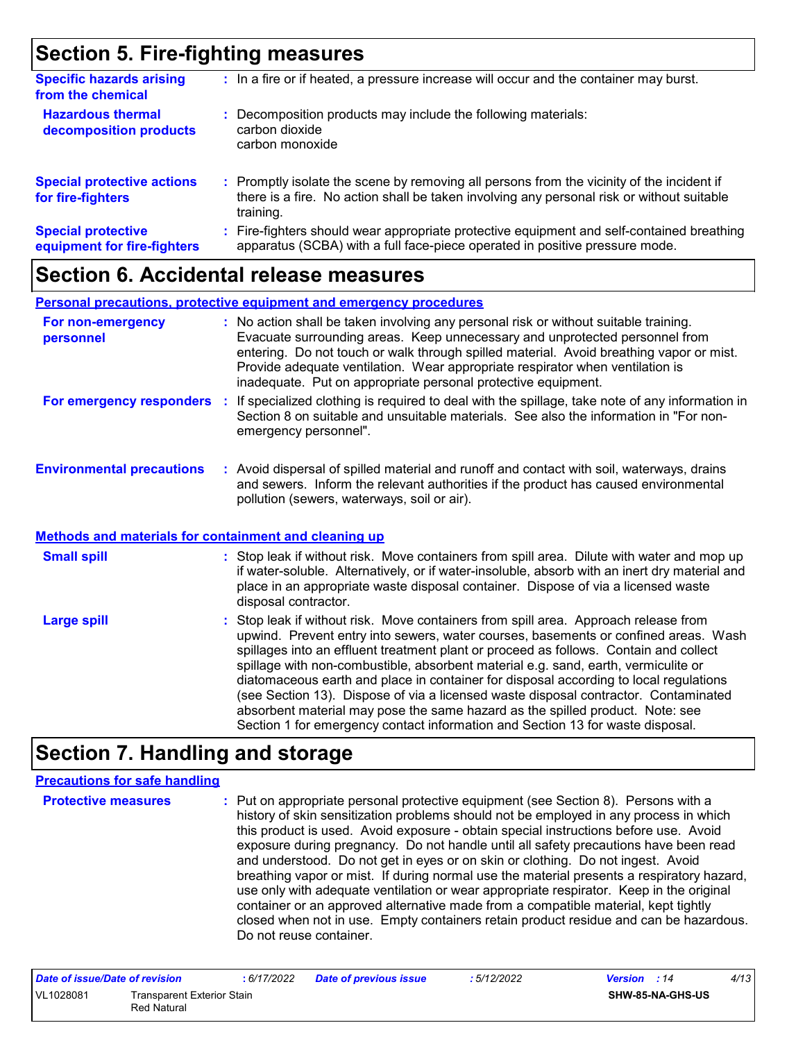### **Section 5. Fire-fighting measures**

| <b>Specific hazards arising</b><br>from the chemical     | : In a fire or if heated, a pressure increase will occur and the container may burst.                                                                                                               |
|----------------------------------------------------------|-----------------------------------------------------------------------------------------------------------------------------------------------------------------------------------------------------|
| <b>Hazardous thermal</b><br>decomposition products       | Decomposition products may include the following materials:<br>÷.<br>carbon dioxide<br>carbon monoxide                                                                                              |
| <b>Special protective actions</b><br>for fire-fighters   | : Promptly isolate the scene by removing all persons from the vicinity of the incident if<br>there is a fire. No action shall be taken involving any personal risk or without suitable<br>training. |
| <b>Special protective</b><br>equipment for fire-fighters | : Fire-fighters should wear appropriate protective equipment and self-contained breathing<br>apparatus (SCBA) with a full face-piece operated in positive pressure mode.                            |

### **Section 6. Accidental release measures**

|                                  | <b>Personal precautions, protective equipment and emergency procedures</b>                                                                                                                                                                                                                                                                                                                                       |
|----------------------------------|------------------------------------------------------------------------------------------------------------------------------------------------------------------------------------------------------------------------------------------------------------------------------------------------------------------------------------------------------------------------------------------------------------------|
| For non-emergency<br>personnel   | : No action shall be taken involving any personal risk or without suitable training.<br>Evacuate surrounding areas. Keep unnecessary and unprotected personnel from<br>entering. Do not touch or walk through spilled material. Avoid breathing vapor or mist.<br>Provide adequate ventilation. Wear appropriate respirator when ventilation is<br>inadequate. Put on appropriate personal protective equipment. |
| For emergency responders         | If specialized clothing is required to deal with the spillage, take note of any information in<br>Section 8 on suitable and unsuitable materials. See also the information in "For non-<br>emergency personnel".                                                                                                                                                                                                 |
| <b>Environmental precautions</b> | : Avoid dispersal of spilled material and runoff and contact with soil, waterways, drains<br>and sewers. Inform the relevant authorities if the product has caused environmental<br>pollution (sewers, waterways, soil or air).                                                                                                                                                                                  |

#### **Methods and materials for containment and cleaning up**

| <b>Small spill</b> | : Stop leak if without risk. Move containers from spill area. Dilute with water and mop up<br>if water-soluble. Alternatively, or if water-insoluble, absorb with an inert dry material and<br>place in an appropriate waste disposal container. Dispose of via a licensed waste<br>disposal contractor.                                                                                                                                                                                                                                                                                                                                                                                                     |
|--------------------|--------------------------------------------------------------------------------------------------------------------------------------------------------------------------------------------------------------------------------------------------------------------------------------------------------------------------------------------------------------------------------------------------------------------------------------------------------------------------------------------------------------------------------------------------------------------------------------------------------------------------------------------------------------------------------------------------------------|
| <b>Large spill</b> | : Stop leak if without risk. Move containers from spill area. Approach release from<br>upwind. Prevent entry into sewers, water courses, basements or confined areas. Wash<br>spillages into an effluent treatment plant or proceed as follows. Contain and collect<br>spillage with non-combustible, absorbent material e.g. sand, earth, vermiculite or<br>diatomaceous earth and place in container for disposal according to local regulations<br>(see Section 13). Dispose of via a licensed waste disposal contractor. Contaminated<br>absorbent material may pose the same hazard as the spilled product. Note: see<br>Section 1 for emergency contact information and Section 13 for waste disposal. |

### **Section 7. Handling and storage**

#### **Precautions for safe handling**

**Protective measures :** Put on appropriate personal protective equipment (see Section 8). Persons with a history of skin sensitization problems should not be employed in any process in which this product is used. Avoid exposure - obtain special instructions before use. Avoid exposure during pregnancy. Do not handle until all safety precautions have been read and understood. Do not get in eyes or on skin or clothing. Do not ingest. Avoid breathing vapor or mist. If during normal use the material presents a respiratory hazard, use only with adequate ventilation or wear appropriate respirator. Keep in the original container or an approved alternative made from a compatible material, kept tightly closed when not in use. Empty containers retain product residue and can be hazardous. Do not reuse container.

| Date of issue/Date of revision |                                           | : 6/17/2022 | <b>Date of previous issue</b> | : 5/12/2022 | <b>Version</b> : 14     | 4/13 |
|--------------------------------|-------------------------------------------|-------------|-------------------------------|-------------|-------------------------|------|
| VL1028081                      | Transparent Exterior Stain<br>Red Natural |             |                               |             | <b>SHW-85-NA-GHS-US</b> |      |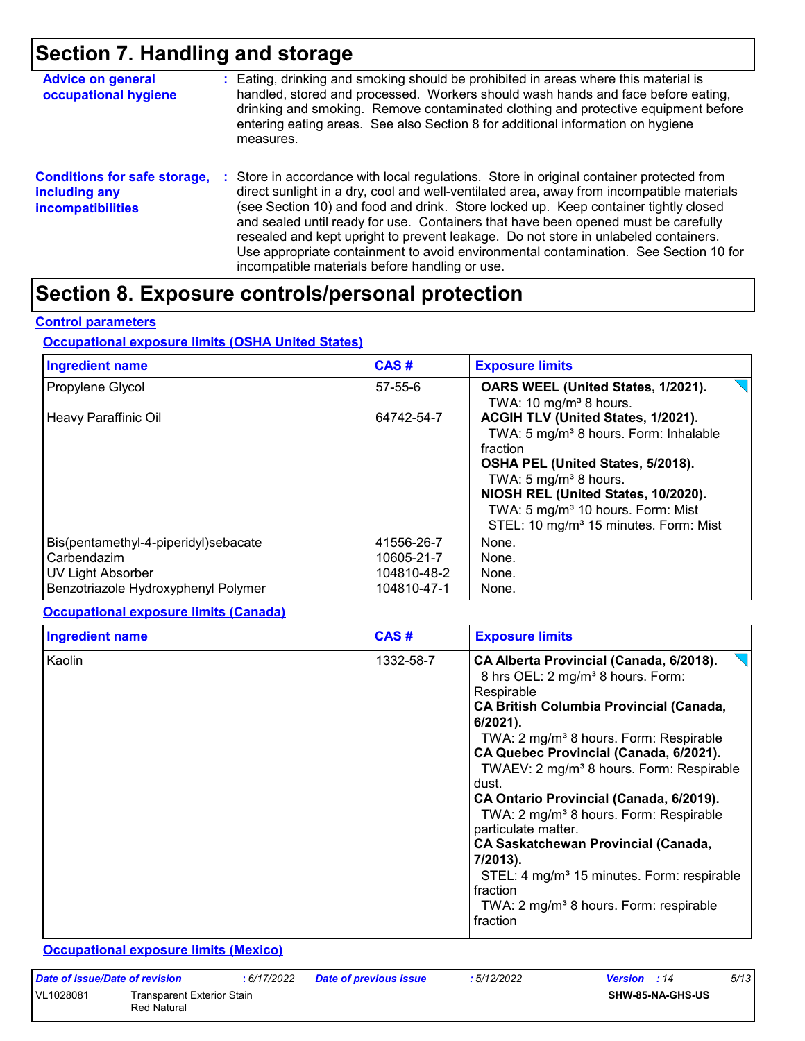### **Section 7. Handling and storage**

| <b>Advice on general</b><br>occupational hygiene                                 | : Eating, drinking and smoking should be prohibited in areas where this material is<br>handled, stored and processed. Workers should wash hands and face before eating,<br>drinking and smoking. Remove contaminated clothing and protective equipment before<br>entering eating areas. See also Section 8 for additional information on hygiene<br>measures.                                                                                                                                                                                                                                       |
|----------------------------------------------------------------------------------|-----------------------------------------------------------------------------------------------------------------------------------------------------------------------------------------------------------------------------------------------------------------------------------------------------------------------------------------------------------------------------------------------------------------------------------------------------------------------------------------------------------------------------------------------------------------------------------------------------|
| <b>Conditions for safe storage,</b><br>including any<br><b>incompatibilities</b> | : Store in accordance with local regulations. Store in original container protected from<br>direct sunlight in a dry, cool and well-ventilated area, away from incompatible materials<br>(see Section 10) and food and drink. Store locked up. Keep container tightly closed<br>and sealed until ready for use. Containers that have been opened must be carefully<br>resealed and kept upright to prevent leakage. Do not store in unlabeled containers.<br>Use appropriate containment to avoid environmental contamination. See Section 10 for<br>incompatible materials before handling or use. |

# **Section 8. Exposure controls/personal protection**

#### **Control parameters**

#### **Occupational exposure limits (OSHA United States)**

| <b>Ingredient name</b>                                                                                          | CAS#                                                   | <b>Exposure limits</b>                                                                                                                                                                                                                                                                                           |
|-----------------------------------------------------------------------------------------------------------------|--------------------------------------------------------|------------------------------------------------------------------------------------------------------------------------------------------------------------------------------------------------------------------------------------------------------------------------------------------------------------------|
| Propylene Glycol                                                                                                | 57-55-6                                                | OARS WEEL (United States, 1/2021).<br>TWA: 10 mg/m <sup>3</sup> 8 hours.                                                                                                                                                                                                                                         |
| Heavy Paraffinic Oil                                                                                            | 64742-54-7                                             | ACGIH TLV (United States, 1/2021).<br>TWA: 5 mg/m <sup>3</sup> 8 hours. Form: Inhalable<br>fraction<br>OSHA PEL (United States, 5/2018).<br>TWA: 5 $mg/m3$ 8 hours.<br>NIOSH REL (United States, 10/2020).<br>TWA: 5 mg/m <sup>3</sup> 10 hours. Form: Mist<br>STEL: 10 mg/m <sup>3</sup> 15 minutes. Form: Mist |
| Bis(pentamethyl-4-piperidyl)sebacate<br>Carbendazim<br>UV Light Absorber<br>Benzotriazole Hydroxyphenyl Polymer | 41556-26-7<br>10605-21-7<br>104810-48-2<br>104810-47-1 | None.<br>None.<br>None.<br>None.                                                                                                                                                                                                                                                                                 |

#### **Occupational exposure limits (Canada)**

| <b>Ingredient name</b> | CAS#      | <b>Exposure limits</b>                                                                                                                                                                                                                                                                                                                                                                                                                                                                                                                                                                                                                                             |
|------------------------|-----------|--------------------------------------------------------------------------------------------------------------------------------------------------------------------------------------------------------------------------------------------------------------------------------------------------------------------------------------------------------------------------------------------------------------------------------------------------------------------------------------------------------------------------------------------------------------------------------------------------------------------------------------------------------------------|
| Kaolin                 | 1332-58-7 | CA Alberta Provincial (Canada, 6/2018).<br>8 hrs OEL: 2 mg/m <sup>3</sup> 8 hours. Form:<br>Respirable<br><b>CA British Columbia Provincial (Canada,</b><br>$6/2021$ ).<br>TWA: 2 mg/m <sup>3</sup> 8 hours. Form: Respirable<br>CA Quebec Provincial (Canada, 6/2021).<br>TWAEV: 2 mg/m <sup>3</sup> 8 hours. Form: Respirable<br>dust.<br>CA Ontario Provincial (Canada, 6/2019).<br>TWA: 2 mg/m <sup>3</sup> 8 hours. Form: Respirable<br>particulate matter.<br><b>CA Saskatchewan Provincial (Canada,</b><br>7/2013).<br>STEL: 4 mg/m <sup>3</sup> 15 minutes. Form: respirable<br>fraction<br>TWA: 2 mg/m <sup>3</sup> 8 hours. Form: respirable<br>fraction |

#### **Occupational exposure limits (Mexico)**

| Date of issue/Date of revision |                                                  | : 6/17/2022 | <b>Date of previous issue</b> | : 5/12/2022 | <b>Version</b> : 14     | 5/13 |
|--------------------------------|--------------------------------------------------|-------------|-------------------------------|-------------|-------------------------|------|
| VL1028081                      | Transparent Exterior Stain<br><b>Red Natural</b> |             |                               |             | <b>SHW-85-NA-GHS-US</b> |      |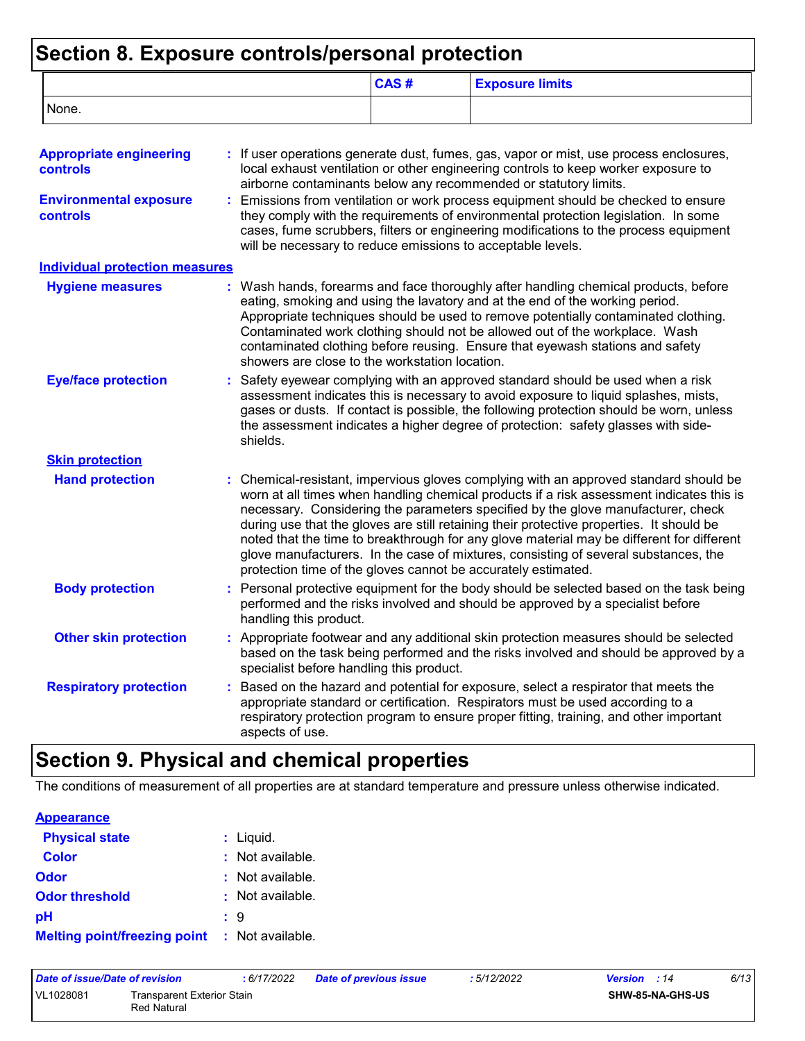# **Section 8. Exposure controls/personal protection**

|                                                   |                                                               | CAS# | <b>Exposure limits</b>                                                                                                                                                                                                                                                                                                                                                                                                                                                                                                                                |
|---------------------------------------------------|---------------------------------------------------------------|------|-------------------------------------------------------------------------------------------------------------------------------------------------------------------------------------------------------------------------------------------------------------------------------------------------------------------------------------------------------------------------------------------------------------------------------------------------------------------------------------------------------------------------------------------------------|
| None.                                             |                                                               |      |                                                                                                                                                                                                                                                                                                                                                                                                                                                                                                                                                       |
| <b>Appropriate engineering</b><br><b>controls</b> |                                                               |      | : If user operations generate dust, fumes, gas, vapor or mist, use process enclosures,<br>local exhaust ventilation or other engineering controls to keep worker exposure to<br>airborne contaminants below any recommended or statutory limits.                                                                                                                                                                                                                                                                                                      |
| <b>Environmental exposure</b><br><b>controls</b>  | will be necessary to reduce emissions to acceptable levels.   |      | Emissions from ventilation or work process equipment should be checked to ensure<br>they comply with the requirements of environmental protection legislation. In some<br>cases, fume scrubbers, filters or engineering modifications to the process equipment                                                                                                                                                                                                                                                                                        |
| <b>Individual protection measures</b>             |                                                               |      |                                                                                                                                                                                                                                                                                                                                                                                                                                                                                                                                                       |
| <b>Hygiene measures</b>                           | showers are close to the workstation location.                |      | : Wash hands, forearms and face thoroughly after handling chemical products, before<br>eating, smoking and using the lavatory and at the end of the working period.<br>Appropriate techniques should be used to remove potentially contaminated clothing.<br>Contaminated work clothing should not be allowed out of the workplace. Wash<br>contaminated clothing before reusing. Ensure that eyewash stations and safety                                                                                                                             |
| <b>Eye/face protection</b>                        | shields.                                                      |      | Safety eyewear complying with an approved standard should be used when a risk<br>assessment indicates this is necessary to avoid exposure to liquid splashes, mists,<br>gases or dusts. If contact is possible, the following protection should be worn, unless<br>the assessment indicates a higher degree of protection: safety glasses with side-                                                                                                                                                                                                  |
| <b>Skin protection</b>                            |                                                               |      |                                                                                                                                                                                                                                                                                                                                                                                                                                                                                                                                                       |
| <b>Hand protection</b>                            | protection time of the gloves cannot be accurately estimated. |      | : Chemical-resistant, impervious gloves complying with an approved standard should be<br>worn at all times when handling chemical products if a risk assessment indicates this is<br>necessary. Considering the parameters specified by the glove manufacturer, check<br>during use that the gloves are still retaining their protective properties. It should be<br>noted that the time to breakthrough for any glove material may be different for different<br>glove manufacturers. In the case of mixtures, consisting of several substances, the |
| <b>Body protection</b>                            | handling this product.                                        |      | Personal protective equipment for the body should be selected based on the task being<br>performed and the risks involved and should be approved by a specialist before                                                                                                                                                                                                                                                                                                                                                                               |
| <b>Other skin protection</b>                      | specialist before handling this product.                      |      | : Appropriate footwear and any additional skin protection measures should be selected<br>based on the task being performed and the risks involved and should be approved by a                                                                                                                                                                                                                                                                                                                                                                         |
| <b>Respiratory protection</b>                     | aspects of use.                                               |      | Based on the hazard and potential for exposure, select a respirator that meets the<br>appropriate standard or certification. Respirators must be used according to a<br>respiratory protection program to ensure proper fitting, training, and other important                                                                                                                                                                                                                                                                                        |

# **Section 9. Physical and chemical properties**

The conditions of measurement of all properties are at standard temperature and pressure unless otherwise indicated.

| <b>Appearance</b>                                    |                             |
|------------------------------------------------------|-----------------------------|
| <b>Physical state</b>                                | $:$ Liquid.                 |
| <b>Color</b>                                         | $:$ Not available.          |
| Odor                                                 | $\therefore$ Not available. |
| <b>Odor threshold</b>                                | : Not available.            |
| рH                                                   | : 9                         |
| <b>Melting point/freezing point : Not available.</b> |                             |

| Date of issue/Date of revision |                                           | : 6/17/2022 | <b>Date of previous issue</b> | : 5/12/2022 | <b>Version</b> : 14 | 6/13 |
|--------------------------------|-------------------------------------------|-------------|-------------------------------|-------------|---------------------|------|
| VL1028081                      | Transparent Exterior Stain<br>Red Natural |             |                               |             | SHW-85-NA-GHS-US    |      |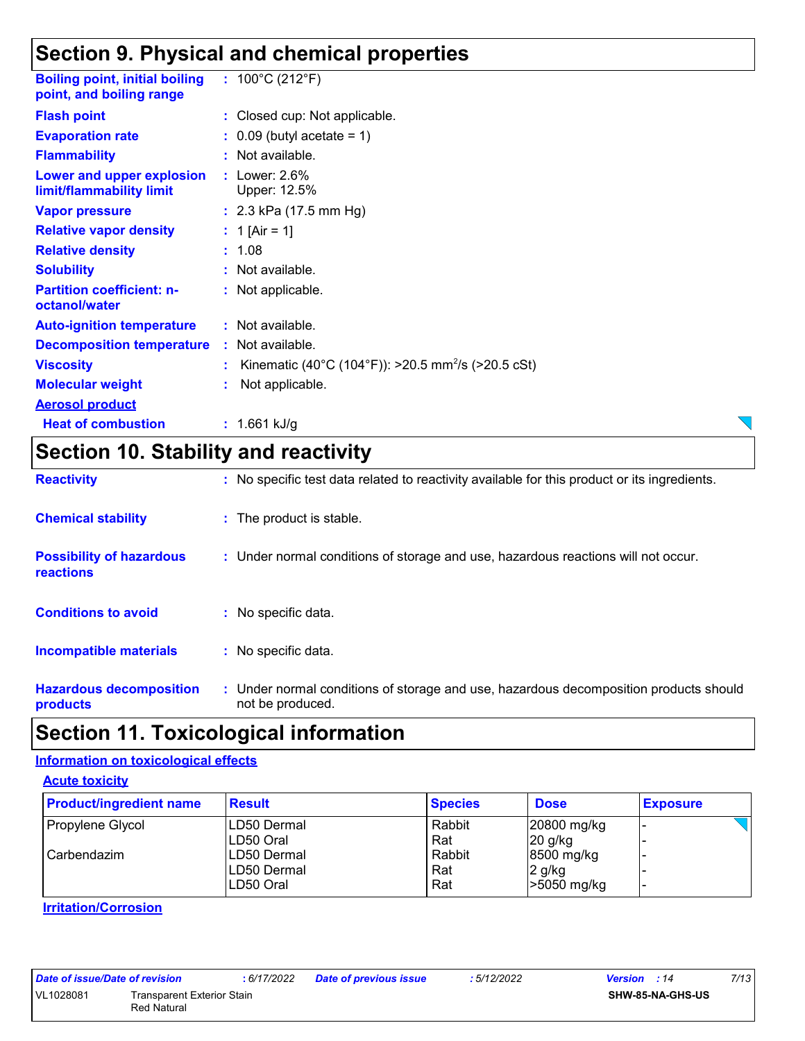### **Section 9. Physical and chemical properties**

| <b>Boiling point, initial boiling : 100°C (212°F)</b><br>point, and boiling range |                                                                  |
|-----------------------------------------------------------------------------------|------------------------------------------------------------------|
| <b>Flash point</b>                                                                | : Closed cup: Not applicable.                                    |
| <b>Evaporation rate</b>                                                           | $\therefore$ 0.09 (butyl acetate = 1)                            |
| <b>Flammability</b>                                                               | : Not available.                                                 |
| Lower and upper explosion<br>limit/flammability limit                             | $:$ Lower: 2.6%<br>Upper: 12.5%                                  |
| <b>Vapor pressure</b>                                                             | : $2.3$ kPa (17.5 mm Hg)                                         |
| <b>Relative vapor density</b>                                                     | : 1 [Air = 1]                                                    |
| <b>Relative density</b>                                                           | : 1.08                                                           |
| <b>Solubility</b>                                                                 | : Not available.                                                 |
| <b>Partition coefficient: n-</b><br>octanol/water                                 | : Not applicable.                                                |
| <b>Auto-ignition temperature</b>                                                  | : Not available.                                                 |
| <b>Decomposition temperature</b>                                                  | : Not available.                                                 |
| <b>Viscosity</b>                                                                  | : Kinematic (40°C (104°F)): >20.5 mm <sup>2</sup> /s (>20.5 cSt) |
| <b>Molecular weight</b>                                                           | Not applicable.                                                  |
| <b>Aerosol product</b>                                                            |                                                                  |
| <b>Heat of combustion</b>                                                         | : $1.661$ kJ/g                                                   |
|                                                                                   |                                                                  |

### **Section 10. Stability and reactivity**

| <b>Reactivity</b>                            | : No specific test data related to reactivity available for this product or its ingredients.              |
|----------------------------------------------|-----------------------------------------------------------------------------------------------------------|
| <b>Chemical stability</b>                    | : The product is stable.                                                                                  |
| <b>Possibility of hazardous</b><br>reactions | : Under normal conditions of storage and use, hazardous reactions will not occur.                         |
| <b>Conditions to avoid</b>                   | $:$ No specific data.                                                                                     |
| <b>Incompatible materials</b>                | : No specific data.                                                                                       |
| <b>Hazardous decomposition</b><br>products   | : Under normal conditions of storage and use, hazardous decomposition products should<br>not be produced. |

### **Section 11. Toxicological information**

#### **Information on toxicological effects**

**Acute toxicity**

| <b>Product/ingredient name</b> | <b>Result</b> | <b>Species</b> | <b>Dose</b> | <b>Exposure</b> |
|--------------------------------|---------------|----------------|-------------|-----------------|
| Propylene Glycol               | ILD50 Dermal  | Rabbit         | 20800 mg/kg |                 |
|                                | LD50 Oral     | Rat            | $20$ g/kg   |                 |
| l Carbendazim                  | ILD50 Dermal  | Rabbit         | 8500 mg/kg  |                 |
|                                | LD50 Dermal   | Rat            | 2 g/kg      |                 |
|                                | LD50 Oral     | Rat            | -5050 mg/kg |                 |

#### **Irritation/Corrosion**

| Date of issue/Date of revision |             |
|--------------------------------|-------------|
| VI 1028081                     | Transparent |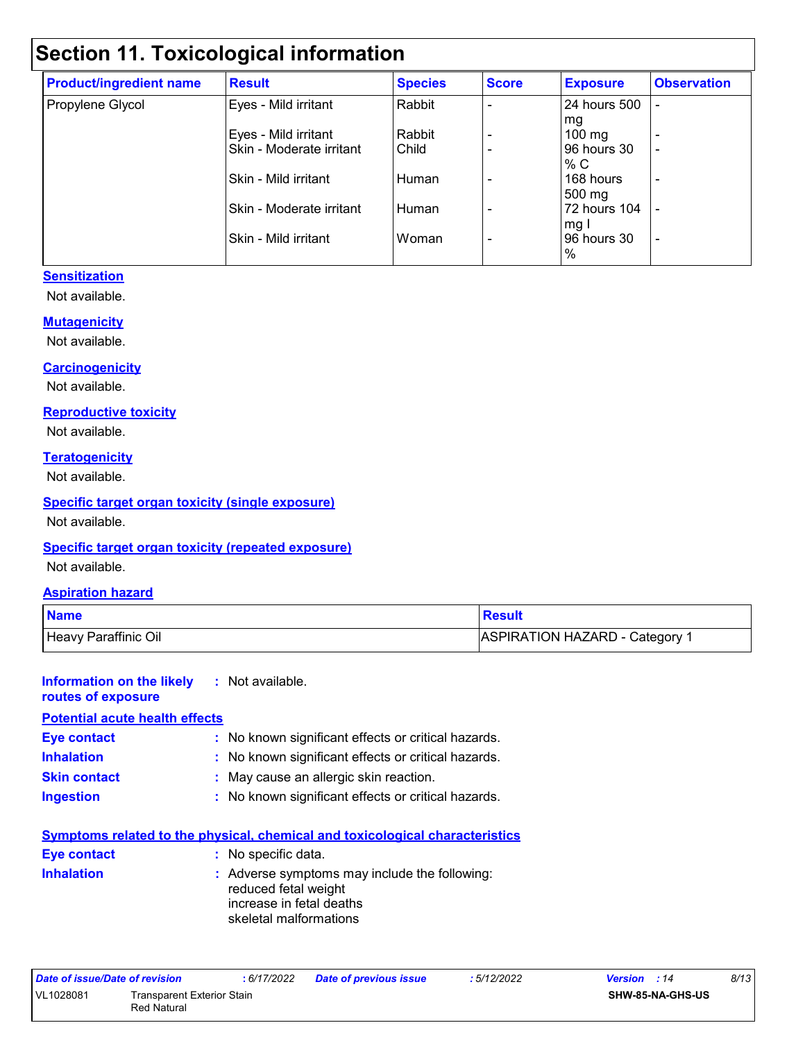# **Section 11. Toxicological information**

| <b>Product/ingredient name</b> | <b>Result</b>            | <b>Species</b> | <b>Score</b> | <b>Exposure</b>  | <b>Observation</b> |
|--------------------------------|--------------------------|----------------|--------------|------------------|--------------------|
| Propylene Glycol               | Eyes - Mild irritant     | Rabbit         |              | 24 hours 500     |                    |
|                                |                          |                |              | mg               |                    |
|                                | Eyes - Mild irritant     | Rabbit         |              | $100 \text{ mg}$ | $\overline{a}$     |
|                                | Skin - Moderate irritant | Child          |              | 96 hours 30      | ٠                  |
|                                |                          |                |              | % C              |                    |
|                                | Skin - Mild irritant     | Human          |              | 168 hours        | ٠                  |
|                                |                          |                |              | 500 mg           |                    |
|                                | Skin - Moderate irritant | Human          |              | 72 hours 104     |                    |
|                                |                          |                |              | mg I             |                    |
|                                | Skin - Mild irritant     | Woman          |              | 96 hours 30      | ٠                  |
|                                |                          |                |              | %                |                    |

#### **Sensitization**

Not available.

#### **Mutagenicity**

Not available.

#### **Carcinogenicity**

Not available.

#### **Reproductive toxicity**

Not available.

#### **Teratogenicity**

Not available.

#### **Specific target organ toxicity (single exposure)**

Not available.

#### **Specific target organ toxicity (repeated exposure)**

Not available.

#### **Aspiration hazard**

| <b>Name</b>          | <b>Result</b>                |
|----------------------|------------------------------|
| Heavy Paraffinic Oil | ASPIRATION HAZARD - Category |

#### **Information on the likely routes of exposure :** Not available. **Potential acute health effects**

| <b>Eye contact</b>  | : No known significant effects or critical hazards. |
|---------------------|-----------------------------------------------------|
| <b>Inhalation</b>   | : No known significant effects or critical hazards. |
| <b>Skin contact</b> | : May cause an allergic skin reaction.              |
| <b>Ingestion</b>    | : No known significant effects or critical hazards. |

| <b>Symptoms related to the physical, chemical and toxicological characteristics</b> |                                                                                                                             |  |  |  |
|-------------------------------------------------------------------------------------|-----------------------------------------------------------------------------------------------------------------------------|--|--|--|
| Eye contact                                                                         | : No specific data.                                                                                                         |  |  |  |
| <b>Inhalation</b>                                                                   | : Adverse symptoms may include the following:<br>reduced fetal weight<br>increase in fetal deaths<br>skeletal malformations |  |  |  |

| Date of issue/Date of revision |                            | : 6/17/2022 | <b>Date of previous issue</b> | : 5/12/2022 | <b>Version</b> : 14     | 8/13 |
|--------------------------------|----------------------------|-------------|-------------------------------|-------------|-------------------------|------|
| VL1028081                      | Transparent Exterior Stain |             |                               |             | <b>SHW-85-NA-GHS-US</b> |      |
|                                | <b>Red Natural</b>         |             |                               |             |                         |      |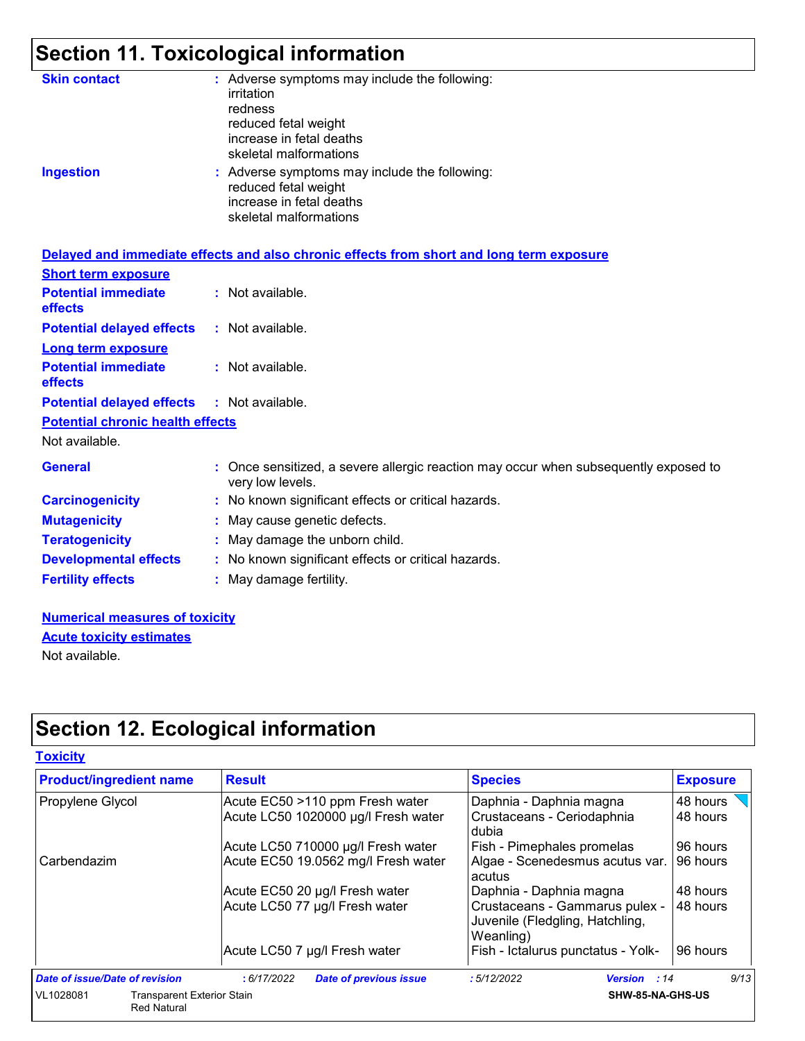# **Section 11. Toxicological information**

| <b>Skin contact</b><br><b>Ingestion</b> | : Adverse symptoms may include the following:<br>irritation<br>redness<br>reduced fetal weight<br>increase in fetal deaths<br>skeletal malformations<br>: Adverse symptoms may include the following:<br>reduced fetal weight<br>increase in fetal deaths<br>skeletal malformations |
|-----------------------------------------|-------------------------------------------------------------------------------------------------------------------------------------------------------------------------------------------------------------------------------------------------------------------------------------|
|                                         | Delayed and immediate effects and also chronic effects from short and long term exposure                                                                                                                                                                                            |
| <b>Short term exposure</b>              |                                                                                                                                                                                                                                                                                     |
| <b>Potential immediate</b><br>effects   | : Not available.                                                                                                                                                                                                                                                                    |
| <b>Potential delayed effects</b>        | : Not available.                                                                                                                                                                                                                                                                    |
| <b>Long term exposure</b>               |                                                                                                                                                                                                                                                                                     |
| <b>Potential immediate</b><br>effects   | : Not available.                                                                                                                                                                                                                                                                    |
| <b>Potential delayed effects</b>        | : Not available.                                                                                                                                                                                                                                                                    |
| <b>Potential chronic health effects</b> |                                                                                                                                                                                                                                                                                     |
| Not available.                          |                                                                                                                                                                                                                                                                                     |
| <b>General</b>                          | : Once sensitized, a severe allergic reaction may occur when subsequently exposed to<br>very low levels.                                                                                                                                                                            |
| <b>Carcinogenicity</b>                  | : No known significant effects or critical hazards.                                                                                                                                                                                                                                 |
| <b>Mutagenicity</b>                     | : May cause genetic defects.                                                                                                                                                                                                                                                        |
| <b>Teratogenicity</b>                   | : May damage the unborn child.                                                                                                                                                                                                                                                      |
| <b>Developmental effects</b>            | : No known significant effects or critical hazards.                                                                                                                                                                                                                                 |
| <b>Fertility effects</b>                | : May damage fertility.                                                                                                                                                                                                                                                             |
|                                         |                                                                                                                                                                                                                                                                                     |

#### **Numerical measures of toxicity** Not available. **Acute toxicity estimates**

**Section 12. Ecological information**

| <b>Product/ingredient name</b>                                       | <b>Result</b>                                                          | <b>Species</b>                                                                 | <b>Exposure</b>      |
|----------------------------------------------------------------------|------------------------------------------------------------------------|--------------------------------------------------------------------------------|----------------------|
| Propylene Glycol                                                     | Acute EC50 >110 ppm Fresh water<br>Acute LC50 1020000 µg/l Fresh water | Daphnia - Daphnia magna<br>Crustaceans - Ceriodaphnia<br>dubia                 | 48 hours<br>48 hours |
|                                                                      | Acute LC50 710000 µg/l Fresh water                                     | Fish - Pimephales promelas                                                     | 96 hours             |
| Carbendazim                                                          | Acute EC50 19.0562 mg/l Fresh water                                    | Algae - Scenedesmus acutus var.<br>acutus                                      | 96 hours             |
|                                                                      | Acute EC50 20 µg/l Fresh water                                         | Daphnia - Daphnia magna                                                        | 48 hours             |
|                                                                      | Acute LC50 77 µg/l Fresh water                                         | Crustaceans - Gammarus pulex -<br>Juvenile (Fledgling, Hatchling,<br>Weanling) | 48 hours             |
|                                                                      | Acute LC50 7 µg/l Fresh water                                          | Fish - Ictalurus punctatus - Yolk-                                             | 96 hours             |
| Date of issue/Date of revision                                       | : 6/17/2022<br><b>Date of previous issue</b>                           | :5/12/2022<br><b>Version</b> : 14                                              | 9/13                 |
| VL1028081<br><b>Transparent Exterior Stain</b><br><b>Red Natural</b> |                                                                        | SHW-85-NA-GHS-US                                                               |                      |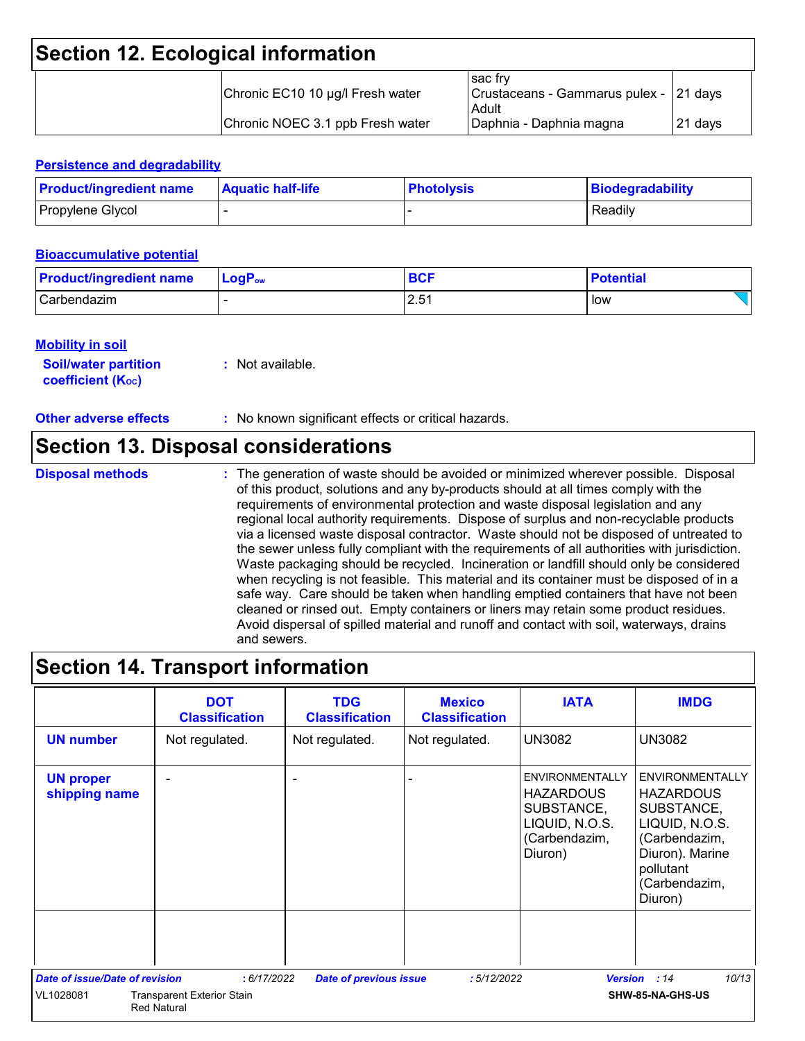### **Section 12. Ecological information**

| Chronic EC10 10 µg/l Fresh water | sac frv<br>  Crustaceans - Gammarus pulex - 21 days<br>Adult |          |
|----------------------------------|--------------------------------------------------------------|----------|
| Chronic NOEC 3.1 ppb Fresh water | Daphnia - Daphnia magna                                      | 121 davs |

#### **Persistence and degradability**

| <b>Product/ingredient name</b> | <b>Aquatic half-life</b> | <b>Photolysis</b> | Biodegradability |
|--------------------------------|--------------------------|-------------------|------------------|
| Propylene Glycol               |                          |                   | Readily          |

#### **Bioaccumulative potential**

| <b>Product/ingredient name</b> | $\blacksquare$ Log $\mathsf{P}_\mathsf{ow}$ | <b>BCF</b> | <b>Potential</b> |
|--------------------------------|---------------------------------------------|------------|------------------|
| Carbendazim                    |                                             | 2.51       | low              |

#### **Mobility in soil**

| <b>Soil/water partition</b> | : Not available. |
|-----------------------------|------------------|
| <b>coefficient (Koc)</b>    |                  |

**Other adverse effects** : No known significant effects or critical hazards.

### **Section 13. Disposal considerations**

**Disposal methods :**

The generation of waste should be avoided or minimized wherever possible. Disposal of this product, solutions and any by-products should at all times comply with the requirements of environmental protection and waste disposal legislation and any regional local authority requirements. Dispose of surplus and non-recyclable products via a licensed waste disposal contractor. Waste should not be disposed of untreated to the sewer unless fully compliant with the requirements of all authorities with jurisdiction. Waste packaging should be recycled. Incineration or landfill should only be considered when recycling is not feasible. This material and its container must be disposed of in a safe way. Care should be taken when handling emptied containers that have not been cleaned or rinsed out. Empty containers or liners may retain some product residues. Avoid dispersal of spilled material and runoff and contact with soil, waterways, drains and sewers.

### **Section 14. Transport information**

|                                       | <b>DOT</b><br><b>Classification</b>                     | <b>TDG</b><br><b>Classification</b> | <b>Mexico</b><br><b>Classification</b> | <b>IATA</b>                                                                                            | <b>IMDG</b>                                                                                                                                             |
|---------------------------------------|---------------------------------------------------------|-------------------------------------|----------------------------------------|--------------------------------------------------------------------------------------------------------|---------------------------------------------------------------------------------------------------------------------------------------------------------|
| <b>UN number</b>                      | Not regulated.                                          | Not regulated.                      | Not regulated.                         | <b>UN3082</b>                                                                                          | <b>UN3082</b>                                                                                                                                           |
| <b>UN proper</b><br>shipping name     |                                                         |                                     |                                        | <b>ENVIRONMENTALLY</b><br><b>HAZARDOUS</b><br>SUBSTANCE,<br>LIQUID, N.O.S.<br>(Carbendazim,<br>Diuron) | <b>ENVIRONMENTALLY</b><br><b>HAZARDOUS</b><br>SUBSTANCE,<br>LIQUID, N.O.S.<br>(Carbendazim,<br>Diuron). Marine<br>pollutant<br>(Carbendazim,<br>Diuron) |
| <b>Date of issue/Date of revision</b> | : 6/17/2022                                             | <b>Date of previous issue</b>       | :5/12/2022                             | <b>Version</b>                                                                                         | 10/13<br>: 14                                                                                                                                           |
| VL1028081                             | <b>Transparent Exterior Stain</b><br><b>Red Natural</b> |                                     |                                        |                                                                                                        | SHW-85-NA-GHS-US                                                                                                                                        |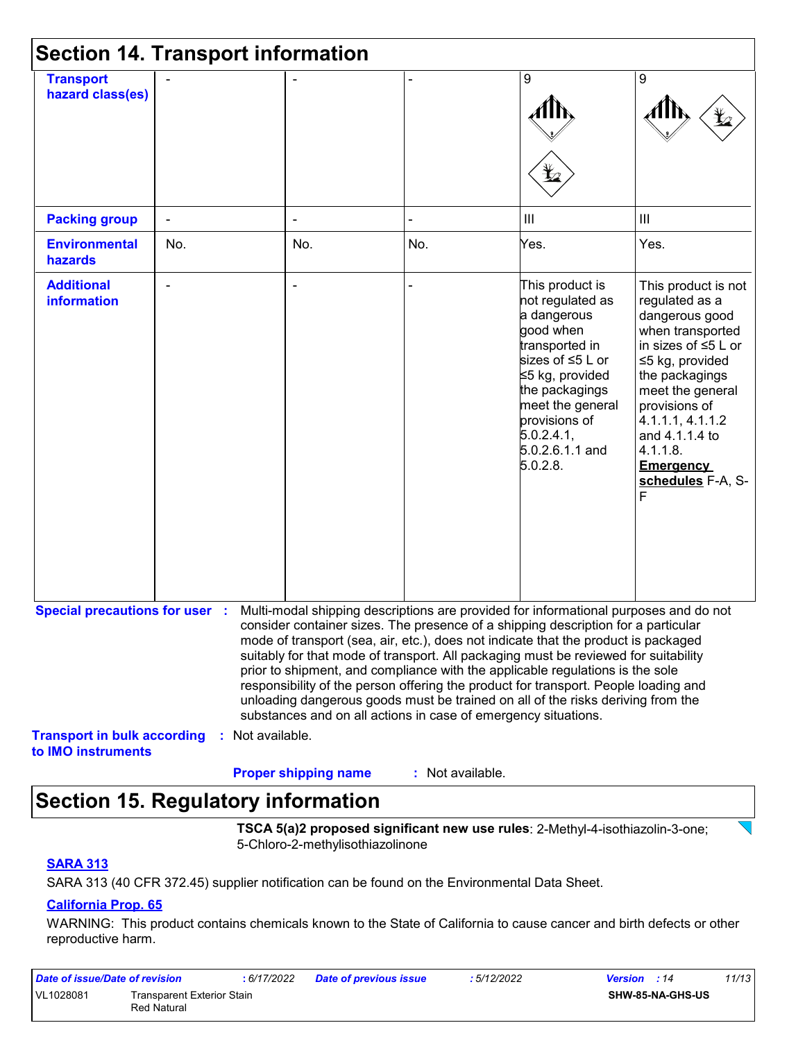| <b>Section 14. Transport information</b>                 |     |                  |                                                                |                  |                                                                                                                                                                                                                                                                                                                                                                                                                                                                                                                                                                                                                   |                                                                                                                                                                                                                                                                                    |
|----------------------------------------------------------|-----|------------------|----------------------------------------------------------------|------------------|-------------------------------------------------------------------------------------------------------------------------------------------------------------------------------------------------------------------------------------------------------------------------------------------------------------------------------------------------------------------------------------------------------------------------------------------------------------------------------------------------------------------------------------------------------------------------------------------------------------------|------------------------------------------------------------------------------------------------------------------------------------------------------------------------------------------------------------------------------------------------------------------------------------|
| <b>Transport</b><br>hazard class(es)                     |     |                  |                                                                |                  | 9<br>Ł                                                                                                                                                                                                                                                                                                                                                                                                                                                                                                                                                                                                            | 9                                                                                                                                                                                                                                                                                  |
| <b>Packing group</b>                                     |     |                  |                                                                |                  | $\mathbf{III}$                                                                                                                                                                                                                                                                                                                                                                                                                                                                                                                                                                                                    | III                                                                                                                                                                                                                                                                                |
| <b>Environmental</b><br>hazards                          | No. |                  | No.                                                            | No.              | Yes.                                                                                                                                                                                                                                                                                                                                                                                                                                                                                                                                                                                                              | Yes.                                                                                                                                                                                                                                                                               |
| <b>Additional</b><br><b>information</b>                  |     |                  |                                                                |                  | This product is<br>not regulated as<br>a dangerous<br>good when<br>transported in<br>sizes of ≤5 L or<br>≤5 kg, provided<br>the packagings<br>meet the general<br>provisions of<br>5.0.2.4.1<br>5.0.2.6.1.1 and<br>5.0.2.8.                                                                                                                                                                                                                                                                                                                                                                                       | This product is not<br>regulated as a<br>dangerous good<br>when transported<br>in sizes of $\leq 5$ L or<br>≤5 kg, provided<br>the packagings<br>meet the general<br>provisions of<br>4.1.1.1, 4.1.1.2<br>and 4.1.1.4 to<br>4.1.1.8.<br><b>Emergency</b><br>schedules F-A, S-<br>F |
| <b>Special precautions for user :</b>                    |     |                  | substances and on all actions in case of emergency situations. |                  | Multi-modal shipping descriptions are provided for informational purposes and do not<br>consider container sizes. The presence of a shipping description for a particular<br>mode of transport (sea, air, etc.), does not indicate that the product is packaged<br>suitably for that mode of transport. All packaging must be reviewed for suitability<br>prior to shipment, and compliance with the applicable regulations is the sole<br>responsibility of the person offering the product for transport. People loading and<br>unloading dangerous goods must be trained on all of the risks deriving from the |                                                                                                                                                                                                                                                                                    |
| <b>Transport in bulk according</b><br>to IMO instruments |     | : Not available. | <b>Proper shipping name</b>                                    | : Not available. |                                                                                                                                                                                                                                                                                                                                                                                                                                                                                                                                                                                                                   |                                                                                                                                                                                                                                                                                    |

### **Section 15. Regulatory information**

**TSCA 5(a)2 proposed significant new use rules**: 2-Methyl-4-isothiazolin-3-one; 5-Chloro-2-methylisothiazolinone

#### **SARA 313**

SARA 313 (40 CFR 372.45) supplier notification can be found on the Environmental Data Sheet.

#### **California Prop. 65**

WARNING: This product contains chemicals known to the State of California to cause cancer and birth defects or other reproductive harm.

| Date of issue/Date of revision                         |  | : 6/17/2022 | <b>Date of previous issue</b> | : 5/12/2022      | 11/13<br><b>Version</b> : 14 |
|--------------------------------------------------------|--|-------------|-------------------------------|------------------|------------------------------|
| VL1028081<br>Transparent Exterior Stain<br>Red Natural |  |             |                               | SHW-85-NA-GHS-US |                              |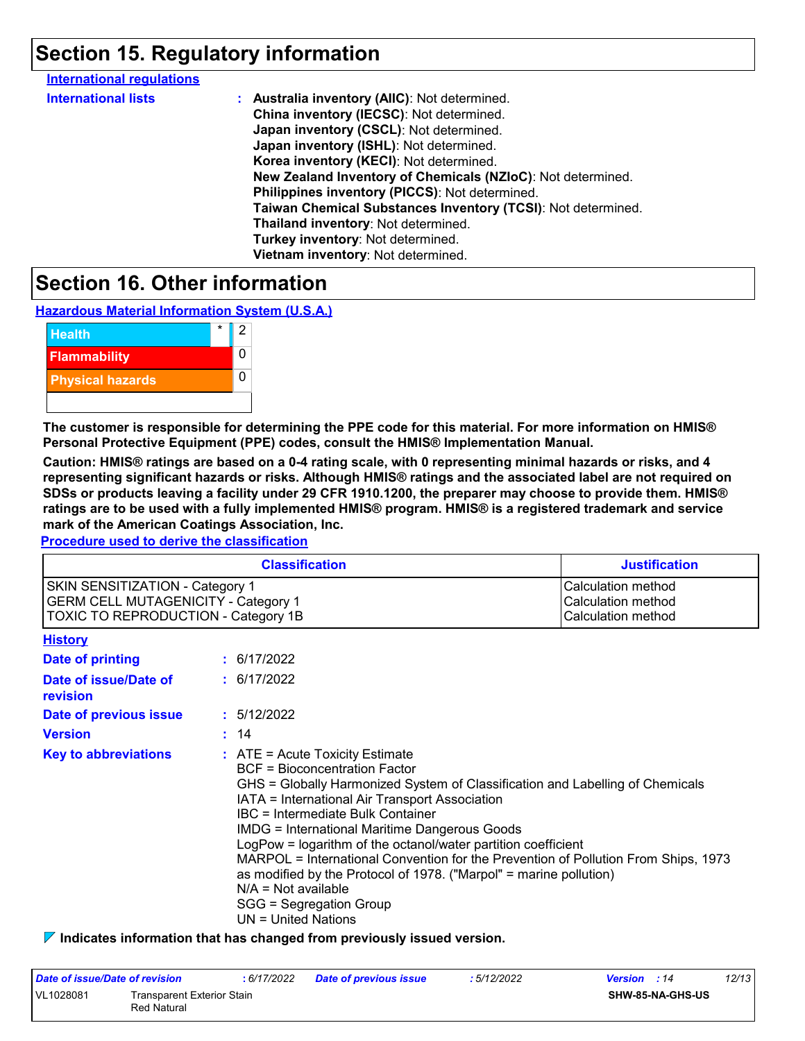### **Section 15. Regulatory information**

| <b>International regulations</b> |                                                              |
|----------------------------------|--------------------------------------------------------------|
| <b>International lists</b>       | : Australia inventory (AIIC): Not determined.                |
|                                  | China inventory (IECSC): Not determined.                     |
|                                  | Japan inventory (CSCL): Not determined.                      |
|                                  | Japan inventory (ISHL): Not determined.                      |
|                                  | Korea inventory (KECI): Not determined.                      |
|                                  | New Zealand Inventory of Chemicals (NZIoC): Not determined.  |
|                                  | Philippines inventory (PICCS): Not determined.               |
|                                  | Taiwan Chemical Substances Inventory (TCSI): Not determined. |
|                                  | Thailand inventory: Not determined.                          |
|                                  | Turkey inventory: Not determined.                            |
|                                  | Vietnam inventory: Not determined.                           |
|                                  |                                                              |

### **Section 16. Other information**

**Hazardous Material Information System (U.S.A.)**



**The customer is responsible for determining the PPE code for this material. For more information on HMIS® Personal Protective Equipment (PPE) codes, consult the HMIS® Implementation Manual.**

**Caution: HMIS® ratings are based on a 0-4 rating scale, with 0 representing minimal hazards or risks, and 4 representing significant hazards or risks. Although HMIS® ratings and the associated label are not required on SDSs or products leaving a facility under 29 CFR 1910.1200, the preparer may choose to provide them. HMIS® ratings are to be used with a fully implemented HMIS® program. HMIS® is a registered trademark and service mark of the American Coatings Association, Inc.**

**Procedure used to derive the classification**

|                                                                                                                                    | <b>Classification</b>                                                                                                                                                                                                                                                                                                                                                                                                                                                                                                                                                                                               | <b>Justification</b>                                           |
|------------------------------------------------------------------------------------------------------------------------------------|---------------------------------------------------------------------------------------------------------------------------------------------------------------------------------------------------------------------------------------------------------------------------------------------------------------------------------------------------------------------------------------------------------------------------------------------------------------------------------------------------------------------------------------------------------------------------------------------------------------------|----------------------------------------------------------------|
| <b>SKIN SENSITIZATION - Category 1</b><br><b>GERM CELL MUTAGENICITY - Category 1</b><br><b>TOXIC TO REPRODUCTION - Category 1B</b> |                                                                                                                                                                                                                                                                                                                                                                                                                                                                                                                                                                                                                     | Calculation method<br>Calculation method<br>Calculation method |
| <b>History</b>                                                                                                                     |                                                                                                                                                                                                                                                                                                                                                                                                                                                                                                                                                                                                                     |                                                                |
| Date of printing                                                                                                                   | : 6/17/2022                                                                                                                                                                                                                                                                                                                                                                                                                                                                                                                                                                                                         |                                                                |
| Date of issue/Date of<br>revision                                                                                                  | : 6/17/2022                                                                                                                                                                                                                                                                                                                                                                                                                                                                                                                                                                                                         |                                                                |
| Date of previous issue                                                                                                             | : 5/12/2022                                                                                                                                                                                                                                                                                                                                                                                                                                                                                                                                                                                                         |                                                                |
| <b>Version</b>                                                                                                                     | : 14                                                                                                                                                                                                                                                                                                                                                                                                                                                                                                                                                                                                                |                                                                |
| <b>Key to abbreviations</b>                                                                                                        | $:$ ATE = Acute Toxicity Estimate<br><b>BCF</b> = Bioconcentration Factor<br>GHS = Globally Harmonized System of Classification and Labelling of Chemicals<br>IATA = International Air Transport Association<br>IBC = Intermediate Bulk Container<br><b>IMDG = International Maritime Dangerous Goods</b><br>LogPow = logarithm of the octanol/water partition coefficient<br>MARPOL = International Convention for the Prevention of Pollution From Ships, 1973<br>as modified by the Protocol of 1978. ("Marpol" = marine pollution)<br>$N/A = Not available$<br>SGG = Segregation Group<br>$UN = United Nations$ |                                                                |

**Indicates information that has changed from previously issued version.**

| Date of issue/Date of revision                         |  | : 6/17/2022 | Date of previous issue | : 5/12/2022      | <b>Version</b> : 14 | 12/13 |
|--------------------------------------------------------|--|-------------|------------------------|------------------|---------------------|-------|
| VL1028081<br>Transparent Exterior Stain<br>Red Natural |  |             |                        | SHW-85-NA-GHS-US |                     |       |